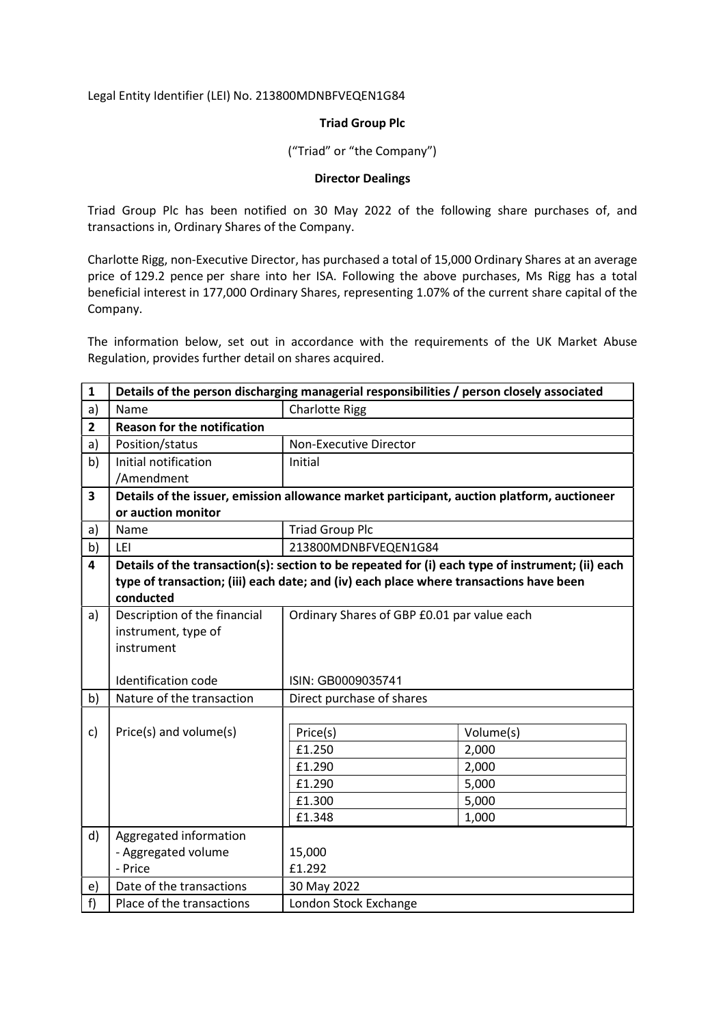Legal Entity Identifier (LEI) No. 213800MDNBFVEQEN1G84

## Triad Group Plc

("Triad" or "the Company")

## Director Dealings

Triad Group Plc has been notified on 30 May 2022 of the following share purchases of, and transactions in, Ordinary Shares of the Company.

Charlotte Rigg, non-Executive Director, has purchased a total of 15,000 Ordinary Shares at an average price of 129.2 pence per share into her ISA. Following the above purchases, Ms Rigg has a total beneficial interest in 177,000 Ordinary Shares, representing 1.07% of the current share capital of the Company.

The information below, set out in accordance with the requirements of the UK Market Abuse Regulation, provides further detail on shares acquired.

| $\mathbf{1}$   | Details of the person discharging managerial responsibilities / person closely associated        |                                                                                            |                |  |
|----------------|--------------------------------------------------------------------------------------------------|--------------------------------------------------------------------------------------------|----------------|--|
| a)             | Name                                                                                             | <b>Charlotte Rigg</b>                                                                      |                |  |
| $\overline{2}$ | <b>Reason for the notification</b>                                                               |                                                                                            |                |  |
| a)             | Position/status                                                                                  | Non-Executive Director                                                                     |                |  |
| b)             | Initial notification                                                                             | Initial                                                                                    |                |  |
|                | /Amendment                                                                                       |                                                                                            |                |  |
| 3              |                                                                                                  | Details of the issuer, emission allowance market participant, auction platform, auctioneer |                |  |
|                | or auction monitor                                                                               |                                                                                            |                |  |
| a)             | Name                                                                                             | <b>Triad Group Plc</b>                                                                     |                |  |
| b)             | LEI                                                                                              | 213800MDNBFVEQEN1G84                                                                       |                |  |
| 4              | Details of the transaction(s): section to be repeated for (i) each type of instrument; (ii) each |                                                                                            |                |  |
|                |                                                                                                  | type of transaction; (iii) each date; and (iv) each place where transactions have been     |                |  |
|                | conducted                                                                                        |                                                                                            |                |  |
| a)             | Description of the financial                                                                     | Ordinary Shares of GBP £0.01 par value each                                                |                |  |
|                | instrument, type of                                                                              |                                                                                            |                |  |
|                | instrument                                                                                       |                                                                                            |                |  |
|                |                                                                                                  |                                                                                            |                |  |
|                | Identification code                                                                              | ISIN: GB0009035741                                                                         |                |  |
| b)             | Nature of the transaction                                                                        | Direct purchase of shares                                                                  |                |  |
|                |                                                                                                  |                                                                                            |                |  |
| c)             | Price(s) and volume(s)                                                                           | Price(s)<br>£1.250                                                                         | Volume(s)      |  |
|                |                                                                                                  |                                                                                            | 2,000          |  |
|                |                                                                                                  | £1.290                                                                                     | 2,000          |  |
|                |                                                                                                  | £1.290<br>£1.300                                                                           | 5,000          |  |
|                |                                                                                                  | £1.348                                                                                     | 5,000<br>1,000 |  |
|                |                                                                                                  |                                                                                            |                |  |
| d)             | Aggregated information                                                                           | 15,000                                                                                     |                |  |
|                | - Aggregated volume<br>- Price                                                                   | £1.292                                                                                     |                |  |
| e)             | Date of the transactions                                                                         | 30 May 2022                                                                                |                |  |
| f)             | Place of the transactions                                                                        | London Stock Exchange                                                                      |                |  |
|                |                                                                                                  |                                                                                            |                |  |